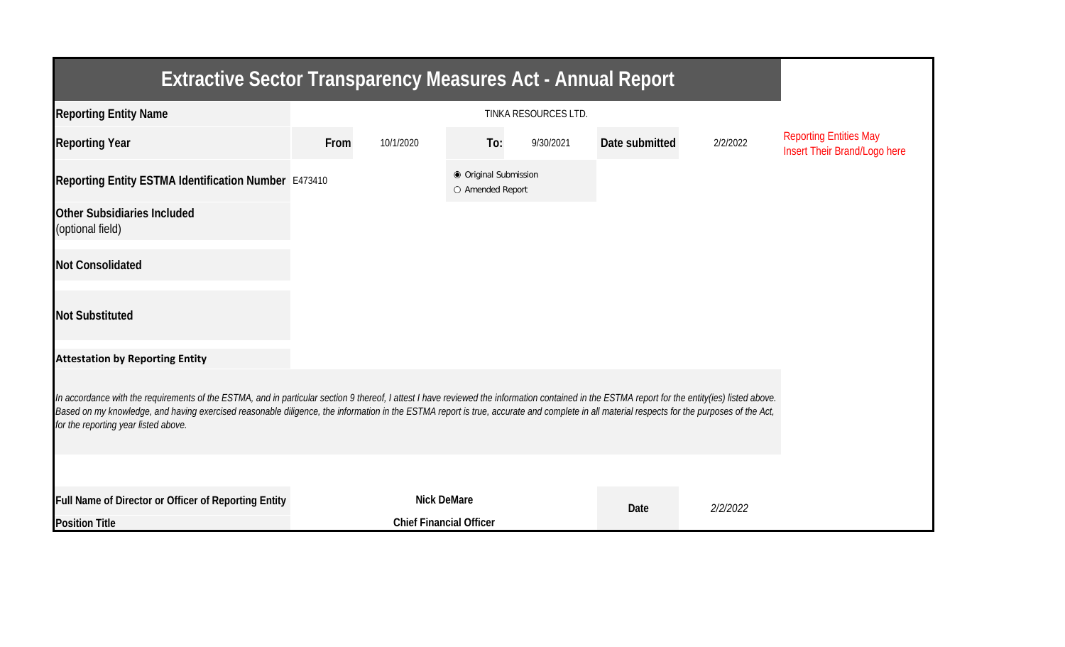| <b>Extractive Sector Transparency Measures Act - Annual Report</b>                                                                                                                                                                                                                                                                                                                                                                    |      |                                           |     |           |                |          |                                                               |  |  |  |
|---------------------------------------------------------------------------------------------------------------------------------------------------------------------------------------------------------------------------------------------------------------------------------------------------------------------------------------------------------------------------------------------------------------------------------------|------|-------------------------------------------|-----|-----------|----------------|----------|---------------------------------------------------------------|--|--|--|
| <b>Reporting Entity Name</b>                                                                                                                                                                                                                                                                                                                                                                                                          |      |                                           |     |           |                |          |                                                               |  |  |  |
| <b>Reporting Year</b>                                                                                                                                                                                                                                                                                                                                                                                                                 | From | 10/1/2020                                 | To: | 9/30/2021 | Date submitted | 2/2/2022 | <b>Reporting Entities May</b><br>Insert Their Brand/Logo here |  |  |  |
| Reporting Entity ESTMA Identification Number E473410                                                                                                                                                                                                                                                                                                                                                                                  |      | ● Original Submission<br>O Amended Report |     |           |                |          |                                                               |  |  |  |
| <b>Other Subsidiaries Included</b><br>(optional field)                                                                                                                                                                                                                                                                                                                                                                                |      |                                           |     |           |                |          |                                                               |  |  |  |
| <b>Not Consolidated</b>                                                                                                                                                                                                                                                                                                                                                                                                               |      |                                           |     |           |                |          |                                                               |  |  |  |
| <b>Not Substituted</b>                                                                                                                                                                                                                                                                                                                                                                                                                |      |                                           |     |           |                |          |                                                               |  |  |  |
| <b>Attestation by Reporting Entity</b>                                                                                                                                                                                                                                                                                                                                                                                                |      |                                           |     |           |                |          |                                                               |  |  |  |
| In accordance with the requirements of the ESTMA, and in particular section 9 thereof, I attest I have reviewed the information contained in the ESTMA report for the entity(ies) listed above.<br>Based on my knowledge, and having exercised reasonable diligence, the information in the ESTMA report is true, accurate and complete in all material respects for the purposes of the Act,<br>for the reporting year listed above. |      |                                           |     |           |                |          |                                                               |  |  |  |
|                                                                                                                                                                                                                                                                                                                                                                                                                                       |      |                                           |     |           |                |          |                                                               |  |  |  |
| Full Name of Director or Officer of Reporting Entity                                                                                                                                                                                                                                                                                                                                                                                  |      | <b>Nick DeMare</b>                        |     |           | Date           | 2/2/2022 |                                                               |  |  |  |
| <b>Position Title</b>                                                                                                                                                                                                                                                                                                                                                                                                                 |      | <b>Chief Financial Officer</b>            |     |           |                |          |                                                               |  |  |  |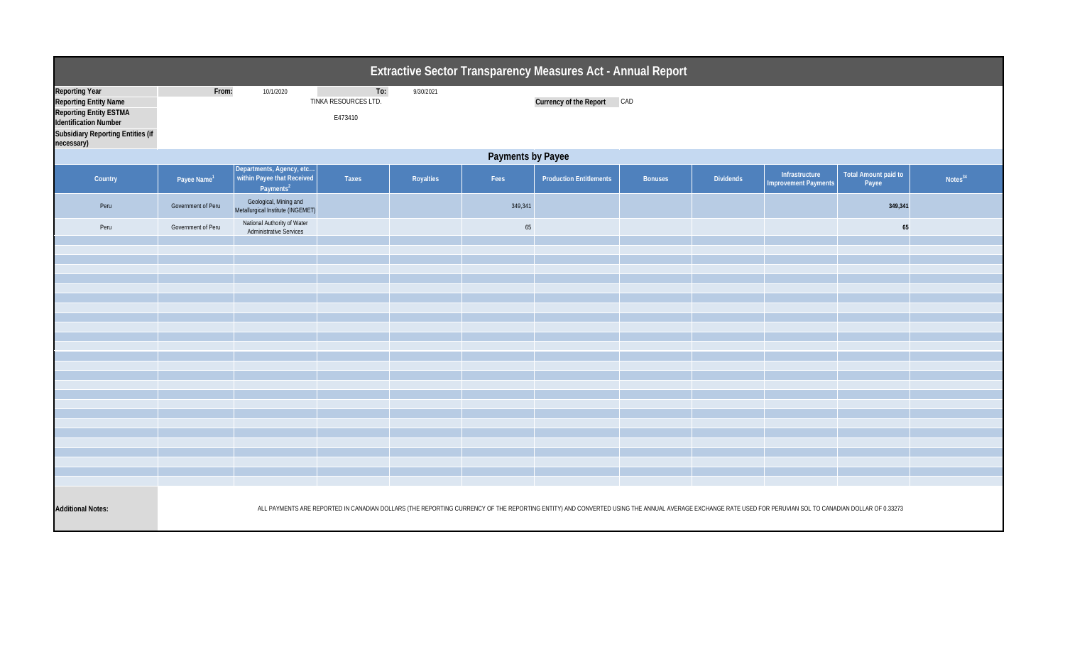| <b>Extractive Sector Transparency Measures Act - Annual Report</b>                                                                                                 |                         |                                                                              |                                        |           |         |                                                                                                                                                                                                         |                |                  |                                               |                                      |                     |  |
|--------------------------------------------------------------------------------------------------------------------------------------------------------------------|-------------------------|------------------------------------------------------------------------------|----------------------------------------|-----------|---------|---------------------------------------------------------------------------------------------------------------------------------------------------------------------------------------------------------|----------------|------------------|-----------------------------------------------|--------------------------------------|---------------------|--|
| <b>Reporting Year</b><br><b>Reporting Entity Name</b><br>Reporting Entity ESTMA<br>Identification Number<br><b>Subsidiary Reporting Entities (if</b><br>necessary) | From:                   | 10/1/2020                                                                    | To:<br>TINKA RESOURCES LTD.<br>E473410 | 9/30/2021 |         | Currency of the Report CAD                                                                                                                                                                              |                |                  |                                               |                                      |                     |  |
| <b>Payments by Payee</b>                                                                                                                                           |                         |                                                                              |                                        |           |         |                                                                                                                                                                                                         |                |                  |                                               |                                      |                     |  |
| Country                                                                                                                                                            | Payee Name <sup>1</sup> | Departments, Agency, etc within Payee that Received<br>Payments <sup>2</sup> | Taxes                                  | Royalties | Fees    | <b>Production Entitlements</b>                                                                                                                                                                          | <b>Bonuses</b> | <b>Dividends</b> | Infrastructure<br><b>Improvement Payments</b> | <b>Total Amount paid to</b><br>Payee | Notes <sup>34</sup> |  |
| Peru                                                                                                                                                               | Government of Peru      | Geological, Mining and<br>Metallurgical Institute (INGEMET)                  |                                        |           | 349,341 |                                                                                                                                                                                                         |                |                  |                                               | 349,341                              |                     |  |
| Peru                                                                                                                                                               | Government of Peru      | National Authority of Water<br><b>Administrative Services</b>                |                                        |           | 65      |                                                                                                                                                                                                         |                |                  |                                               | 65                                   |                     |  |
|                                                                                                                                                                    |                         |                                                                              |                                        |           |         |                                                                                                                                                                                                         |                |                  |                                               |                                      |                     |  |
|                                                                                                                                                                    |                         |                                                                              |                                        |           |         |                                                                                                                                                                                                         |                |                  |                                               |                                      |                     |  |
|                                                                                                                                                                    |                         |                                                                              |                                        |           |         |                                                                                                                                                                                                         |                |                  |                                               |                                      |                     |  |
|                                                                                                                                                                    |                         |                                                                              |                                        |           |         |                                                                                                                                                                                                         |                |                  |                                               |                                      |                     |  |
|                                                                                                                                                                    |                         |                                                                              |                                        |           |         |                                                                                                                                                                                                         |                |                  |                                               |                                      |                     |  |
|                                                                                                                                                                    |                         |                                                                              |                                        |           |         |                                                                                                                                                                                                         |                |                  |                                               |                                      |                     |  |
|                                                                                                                                                                    |                         |                                                                              |                                        |           |         |                                                                                                                                                                                                         |                |                  |                                               |                                      |                     |  |
|                                                                                                                                                                    |                         |                                                                              |                                        |           |         |                                                                                                                                                                                                         |                |                  |                                               |                                      |                     |  |
|                                                                                                                                                                    |                         |                                                                              |                                        |           |         |                                                                                                                                                                                                         |                |                  |                                               |                                      |                     |  |
|                                                                                                                                                                    |                         |                                                                              |                                        |           |         |                                                                                                                                                                                                         |                |                  |                                               |                                      |                     |  |
|                                                                                                                                                                    |                         |                                                                              |                                        |           |         |                                                                                                                                                                                                         |                |                  |                                               |                                      |                     |  |
|                                                                                                                                                                    |                         |                                                                              |                                        |           |         |                                                                                                                                                                                                         |                |                  |                                               |                                      |                     |  |
|                                                                                                                                                                    |                         |                                                                              |                                        |           |         |                                                                                                                                                                                                         |                |                  |                                               |                                      |                     |  |
|                                                                                                                                                                    |                         |                                                                              |                                        |           |         |                                                                                                                                                                                                         |                |                  |                                               |                                      |                     |  |
|                                                                                                                                                                    |                         |                                                                              |                                        |           |         |                                                                                                                                                                                                         |                |                  |                                               |                                      |                     |  |
|                                                                                                                                                                    |                         |                                                                              |                                        |           |         |                                                                                                                                                                                                         |                |                  |                                               |                                      |                     |  |
|                                                                                                                                                                    |                         |                                                                              |                                        |           |         |                                                                                                                                                                                                         |                |                  |                                               |                                      |                     |  |
| <b>Additional Notes:</b>                                                                                                                                           |                         |                                                                              |                                        |           |         | ALL PAYMENTS ARE REPORTED IN CANADIAN DOLLARS (THE REPORTING CURRENCY OF THE REPORTING ENTITY) AND CONVERTED USING THE ANNUAL AVERAGE EXCHANGE RATE USED FOR PERUVIAN SOL TO CANADIAN DOLLAR OF 0.33273 |                |                  |                                               |                                      |                     |  |